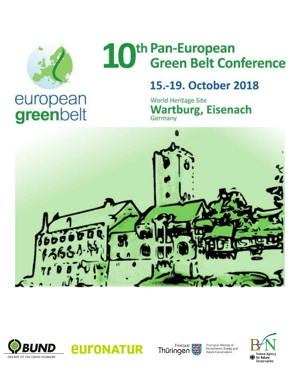

## th Pan-European<br>Green Belt Conference 10

## 15.-19. October 2018

World Heritage Site **Wartburg, Eisenach** Germany









Thuringian Ministry of<br>Environment, Energy and<br>Nature Conservation

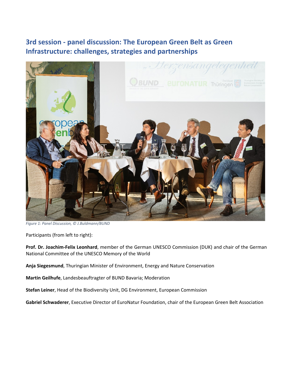## **3rd session - panel discussion: The European Green Belt as Green Infrastructure: challenges, strategies and partnerships**



*Figure 1: Panel Discussion, © J.Buldmann/BUND*

Participants (from left to right):

**Prof. Dr. Joachim-Felix Leonhard**, member of the German UNESCO Commission (DUK) and chair of the German National Committee of the UNESCO Memory of the World

**Anja Siegesmund**, Thuringian Minister of Environment, Energy and Nature Conservation

**Martin Geilhufe**, Landesbeauftragter of BUND Bavaria; Moderation

**Stefan Leiner**, Head of the Biodiversity Unit, DG Environment, European Commission

**Gabriel Schwaderer**, Executive Director of EuroNatur Foundation, chair of the European Green Belt Association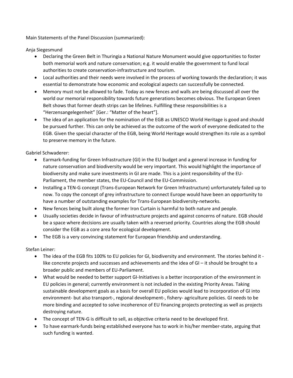Main Statements of the Panel Discussion (summarized):

Anja Siegesmund

- Declaring the Green Belt in Thuringia a National Nature Monument would give opportunities to foster both memorial work and nature conservation; e.g. it would enable the government to fund local authorities to create conservation-infrastructure and tourism.
- Local authorities and their needs were involved in the process of working towards the declaration; it was essential to demonstrate how economic and ecological aspects can successfully be connected.
- Memory must not be allowed to fade. Today as new fences and walls are being discussed all over the world our memorial responsibility towards future generations becomes obvious. The European Green Belt shows that former death strips can be lifelines. Fulfilling these responsibilities is a "Herzensangelegenheit" [Ger.: "Matter of the heart"].
- The idea of an application for the nomination of the EGB as UNESCO World Heritage is good and should be pursued further. This can only be achieved as the outcome of the work of everyone dedicated to the EGB. Given the special character of the EGB, being World Heritage would strengthen its role as a symbol to preserve memory in the future.

Gabriel Schwaderer:

- Earmark-funding for Green Infrastructure (GI) in the EU budget and a general increase in funding for nature conservation and biodiversity would be very important. This would highlight the importance of biodiversity and make sure investments in GI are made. This is a joint responsibility of the EU-Parliament, the member states, the EU-Council and the EU-Commission.
- Installing a TEN-G concept (Trans-European Network for Green Infrastructure) unfortunately failed up to now. To copy the concept of grey infrastructure to connect Europe would have been an opportunity to have a number of outstanding examples for Trans-European biodiversity-networks.
- New fences being built along the former Iron Curtain is harmful to both nature and people.
- Usually societies decide in favour of infrastructure projects and against concerns of nature. EGB should be a space where decisions are usually taken with a reversed priority. Countries along the EGB should consider the EGB as a core area for ecological development.
- The EGB is a very convincing statement for European friendship and understanding.

Stefan Leiner:

- The idea of the EGB fits 100% to EU policies for GI, biodiversity and environment. The stories behind it like concrete projects and successes and achievements and the idea of GI – it should be brought to a broader public and members of EU-Parliament.
- What would be needed to better support GI-Initiatives is a better incorporation of the environment in EU policies in general; currently environment is not included in the existing Priority Areas. Taking sustainable development goals as a basis for overall EU policies would lead to incorporation of GI into environment- but also transport-, regional development-, fishery- agriculture policies. GI needs to be more binding and accepted to solve incoherence of EU financing projects protecting as well as projects destroying nature.
- The concept of TEN-G is difficult to sell, as objective criteria need to be developed first.
- To have earmark-funds being established everyone has to work in his/her member-state, arguing that such funding is wanted.